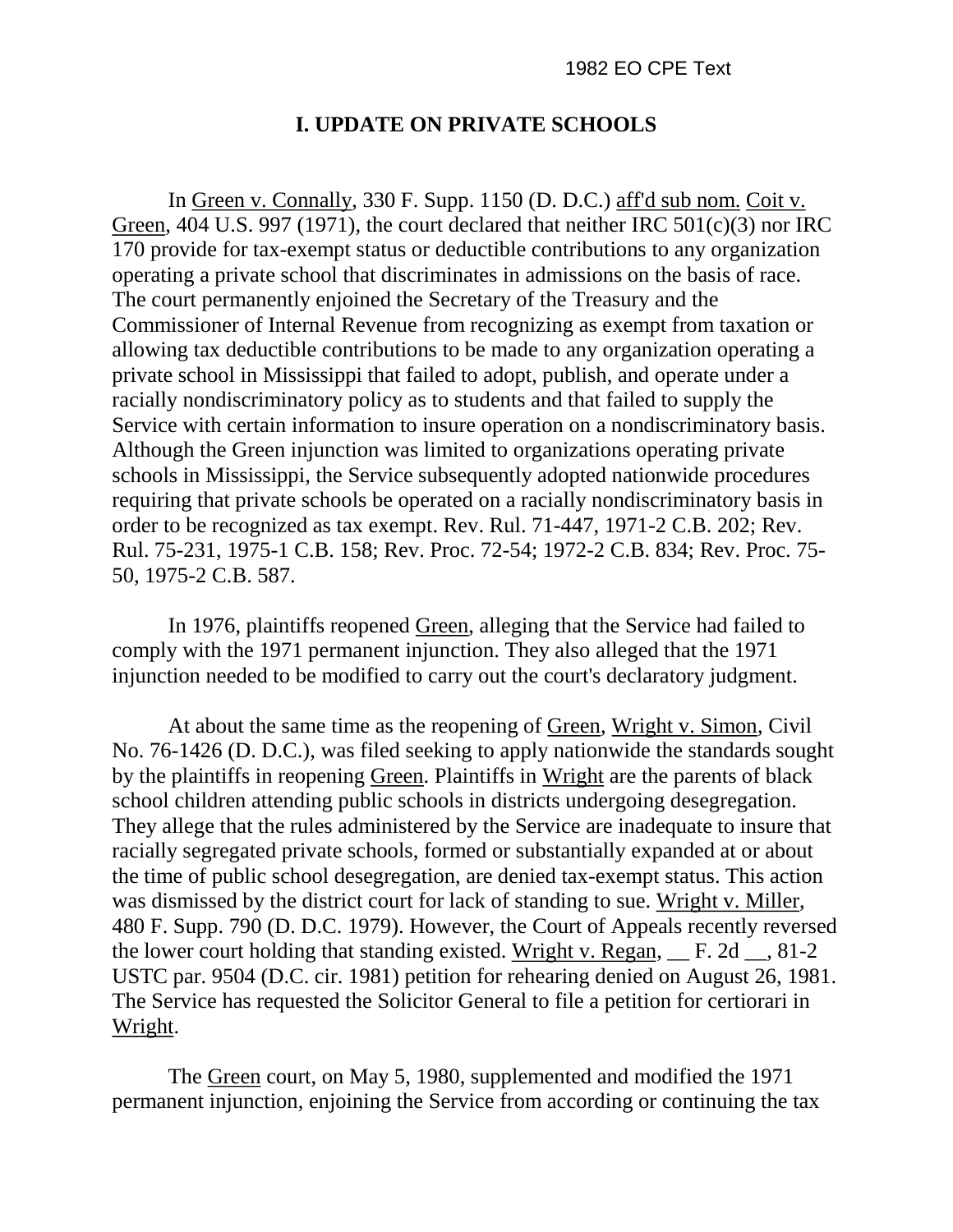## **I. UPDATE ON PRIVATE SCHOOLS**

In Green v. Connally, 330 F. Supp. 1150 (D. D.C.) aff'd sub nom. Coit v. Green, 404 U.S. 997 (1971), the court declared that neither IRC 501(c)(3) nor IRC 170 provide for tax-exempt status or deductible contributions to any organization operating a private school that discriminates in admissions on the basis of race. The court permanently enjoined the Secretary of the Treasury and the Commissioner of Internal Revenue from recognizing as exempt from taxation or allowing tax deductible contributions to be made to any organization operating a private school in Mississippi that failed to adopt, publish, and operate under a racially nondiscriminatory policy as to students and that failed to supply the Service with certain information to insure operation on a nondiscriminatory basis. Although the Green injunction was limited to organizations operating private schools in Mississippi, the Service subsequently adopted nationwide procedures requiring that private schools be operated on a racially nondiscriminatory basis in order to be recognized as tax exempt. Rev. Rul. 71-447, 1971-2 C.B. 202; Rev. Rul. 75-231, 1975-1 C.B. 158; Rev. Proc. 72-54; 1972-2 C.B. 834; Rev. Proc. 75- 50, 1975-2 C.B. 587.

In 1976, plaintiffs reopened Green, alleging that the Service had failed to comply with the 1971 permanent injunction. They also alleged that the 1971 injunction needed to be modified to carry out the court's declaratory judgment.

At about the same time as the reopening of Green, Wright v. Simon, Civil No. 76-1426 (D. D.C.), was filed seeking to apply nationwide the standards sought by the plaintiffs in reopening Green. Plaintiffs in Wright are the parents of black school children attending public schools in districts undergoing desegregation. They allege that the rules administered by the Service are inadequate to insure that racially segregated private schools, formed or substantially expanded at or about the time of public school desegregation, are denied tax-exempt status. This action was dismissed by the district court for lack of standing to sue. Wright v. Miller, 480 F. Supp. 790 (D. D.C. 1979). However, the Court of Appeals recently reversed the lower court holding that standing existed. Wright v. Regan, \_\_ F. 2d \_\_, 81-2 USTC par. 9504 (D.C. cir. 1981) petition for rehearing denied on August 26, 1981. The Service has requested the Solicitor General to file a petition for certiorari in Wright.

The Green court, on May 5, 1980, supplemented and modified the 1971 permanent injunction, enjoining the Service from according or continuing the tax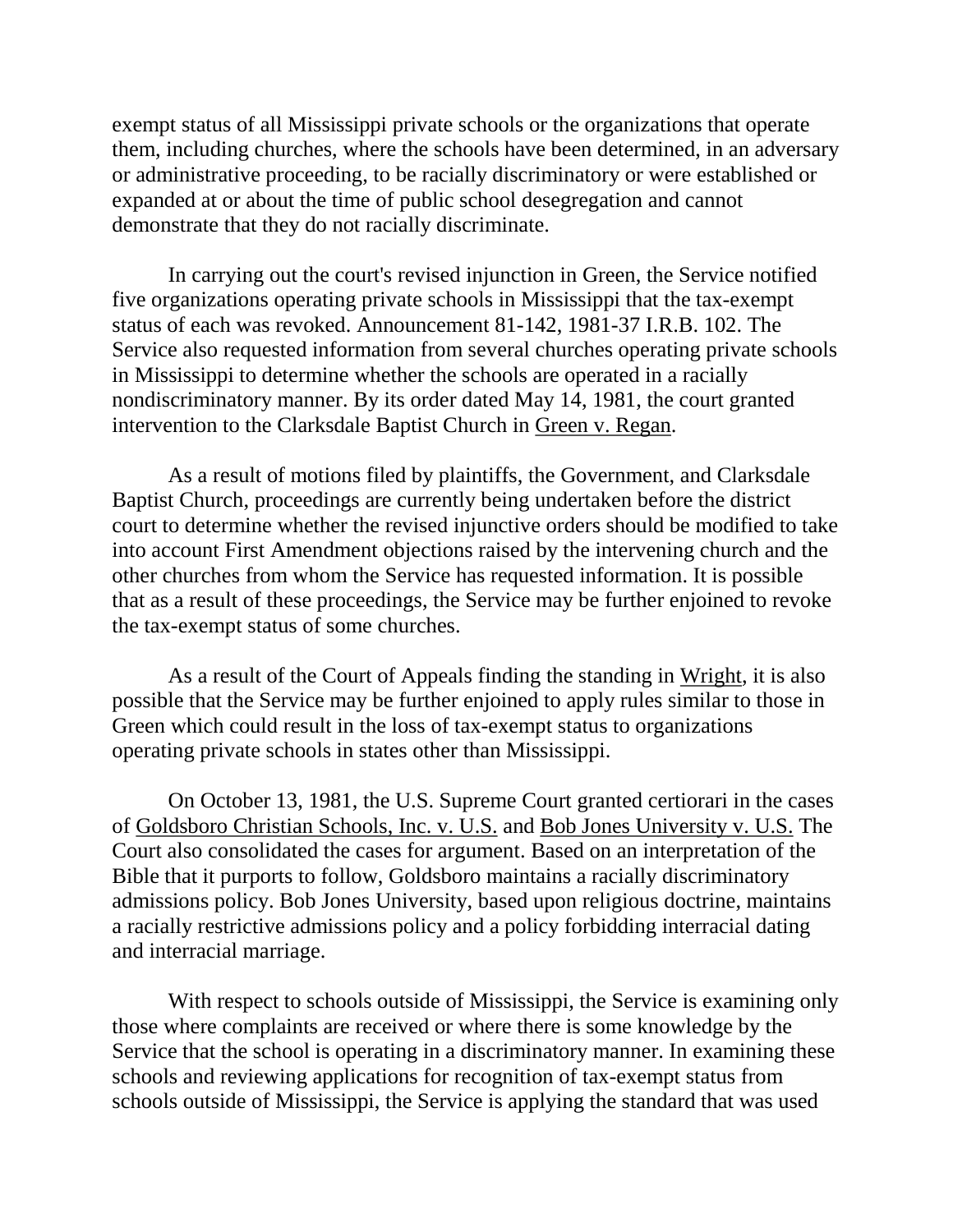exempt status of all Mississippi private schools or the organizations that operate them, including churches, where the schools have been determined, in an adversary or administrative proceeding, to be racially discriminatory or were established or expanded at or about the time of public school desegregation and cannot demonstrate that they do not racially discriminate.

In carrying out the court's revised injunction in Green, the Service notified five organizations operating private schools in Mississippi that the tax-exempt status of each was revoked. Announcement 81-142, 1981-37 I.R.B. 102. The Service also requested information from several churches operating private schools in Mississippi to determine whether the schools are operated in a racially nondiscriminatory manner. By its order dated May 14, 1981, the court granted intervention to the Clarksdale Baptist Church in Green v. Regan.

As a result of motions filed by plaintiffs, the Government, and Clarksdale Baptist Church, proceedings are currently being undertaken before the district court to determine whether the revised injunctive orders should be modified to take into account First Amendment objections raised by the intervening church and the other churches from whom the Service has requested information. It is possible that as a result of these proceedings, the Service may be further enjoined to revoke the tax-exempt status of some churches.

As a result of the Court of Appeals finding the standing in Wright, it is also possible that the Service may be further enjoined to apply rules similar to those in Green which could result in the loss of tax-exempt status to organizations operating private schools in states other than Mississippi.

On October 13, 1981, the U.S. Supreme Court granted certiorari in the cases of Goldsboro Christian Schools, Inc. v. U.S. and Bob Jones University v. U.S. The Court also consolidated the cases for argument. Based on an interpretation of the Bible that it purports to follow, Goldsboro maintains a racially discriminatory admissions policy. Bob Jones University, based upon religious doctrine, maintains a racially restrictive admissions policy and a policy forbidding interracial dating and interracial marriage.

With respect to schools outside of Mississippi, the Service is examining only those where complaints are received or where there is some knowledge by the Service that the school is operating in a discriminatory manner. In examining these schools and reviewing applications for recognition of tax-exempt status from schools outside of Mississippi, the Service is applying the standard that was used